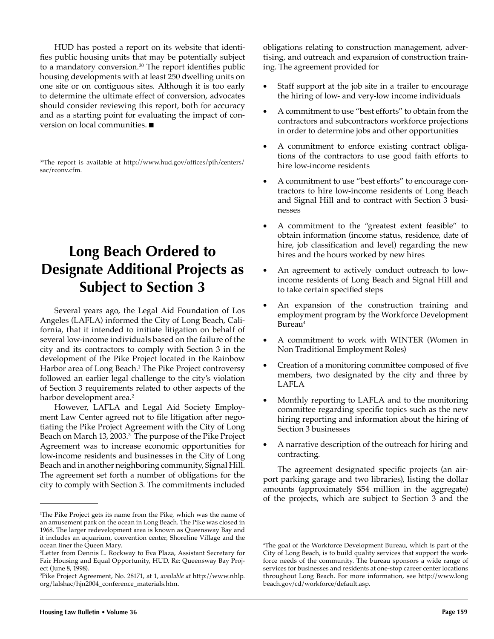HUD has posted a report on its website that identifies public housing units that may be potentially subject to a mandatory conversion. $30$  The report identifies public housing developments with at least 250 dwelling units on one site or on contiguous sites. Although it is too early to determine the ultimate effect of conversion, advocates should consider reviewing this report, both for accuracy and as a starting point for evaluating the impact of conversion on local communities.  $\blacksquare$ 

# **Long Beach Ordered to Designate Additional Projects as Subject to Section 3**

Several years ago, the Legal Aid Foundation of Los Angeles (LAFLA) informed the City of Long Beach, California, that it intended to initiate litigation on behalf of several low-income individuals based on the failure of the city and its contractors to comply with Section 3 in the development of the Pike Project located in the Rainbow Harbor area of Long Beach.<sup>1</sup> The Pike Project controversy followed an earlier legal challenge to the city's violation of Section 3 requirements related to other aspects of the harbor development area.<sup>2</sup>

However, LAFLA and Legal Aid Society Employment Law Center agreed not to file litigation after negotiating the Pike Project Agreement with the City of Long Beach on March 13, 2003.<sup>3</sup> The purpose of the Pike Project Agreement was to increase economic opportunities for low-income residents and businesses in the City of Long Beach and in another neighboring community, Signal Hill. The agreement set forth a number of obligations for the city to comply with Section 3. The commitments included

obligations relating to construction management, advertising, and outreach and expansion of construction training. The agreement provided for

- Staff support at the job site in a trailer to encourage the hiring of low- and very-low income individuals
- A commitment to use "best efforts" to obtain from the contractors and subcontractors workforce projections in order to determine jobs and other opportunities
- A commitment to enforce existing contract obligations of the contractors to use good faith efforts to hire low-income residents
- A commitment to use "best efforts" to encourage contractors to hire low-income residents of Long Beach and Signal Hill and to contract with Section 3 businesses
- A commitment to the "greatest extent feasible" to obtain information (income status, residence, date of hire, job classification and level) regarding the new hires and the hours worked by new hires
- An agreement to actively conduct outreach to lowincome residents of Long Beach and Signal Hill and to take certain specified steps
- An expansion of the construction training and employment program by the Workforce Development Bureau<sup>4</sup>
- A commitment to work with WINTER (Women in Non Traditional Employment Roles)
- Creation of a monitoring committee composed of five members, two designated by the city and three by LAFLA
- Monthly reporting to LAFLA and to the monitoring committee regarding specific topics such as the new hiring reporting and information about the hiring of Section 3 businesses
- A narrative description of the outreach for hiring and contracting.

The agreement designated specific projects (an airport parking garage and two libraries), listing the dollar amounts (approximately \$54 million in the aggregate) of the projects, which are subject to Section 3 and the

<sup>&</sup>lt;sup>30</sup>The report is available at http://www.hud.gov/offices/pih/centers/ sac/rconv.cfm.

<sup>1</sup> The Pike Project gets its name from the Pike, which was the name of an amusement park on the ocean in Long Beach. The Pike was closed in 1968. The larger redevelopment area is known as Queensway Bay and it includes an aquarium, convention center, Shoreline Village and the ocean liner the Queen Mary.

<sup>2</sup> Letter from Dennis L. Rockway to Eva Plaza, Assistant Secretary for Fair Housing and Equal Opportunity, HUD, Re: Queensway Bay Project (June 8, 1998).

<sup>3</sup> Pike Project Agreement, No. 28171, at 1, *available at* http://www.nhlp. org/lalshac/hjn2004\_conference\_materials.htm.

<sup>4</sup> The goal of the Workforce Development Bureau, which is part of the City of Long Beach, is to build quality services that support the workforce needs of the community. The bureau sponsors a wide range of services for businesses and residents at one-stop career center locations throughout Long Beach. For more information, see http://www.long beach.gov/cd/workforce/default.asp.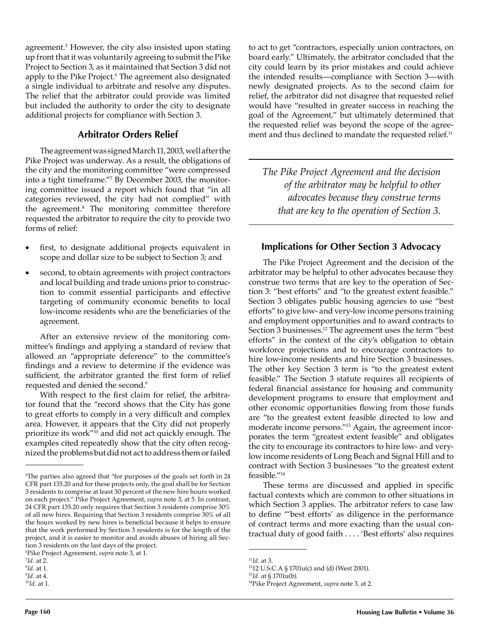agreement.<sup>5</sup> However, the city also insisted upon stating up front that it was voluntarily agreeing to submit the Pike Project to Section 3, as it maintained that Section 3 did not apply to the Pike Project.6 The agreement also designated a single individual to arbitrate and resolve any disputes. The relief that the arbitrator could provide was limited but included the authority to order the city to designate additional projects for compliance with Section 3.

### **Arbitrator Orders Relief**

The agreement was signed March 11, 2003, well after the Pike Project was underway. As a result, the obligations of the city and the monitoring committee "were compressed into a tight timeframe."7 By December 2003, the monitoring committee issued a report which found that "in all categories reviewed, the city had not complied" with the agreement.8 The monitoring committee therefore requested the arbitrator to require the city to provide two forms of relief:

- first, to designate additional projects equivalent in scope and dollar size to be subject to Section 3; and
- second, to obtain agreements with project contractors and local building and trade unions prior to construction to commit essential participants and effective targeting of community economic benefits to local low-income residents who are the beneficiaries of the agreement.

After an extensive review of the monitoring committee's findings and applying a standard of review that allowed an "appropriate deference" to the committee's findings and a review to determine if the evidence was sufficient, the arbitrator granted the first form of relief requested and denied the second.<sup>9</sup>

With respect to the first claim for relief, the arbitrator found that the "record shows that the City has gone to great efforts to comply in a very difficult and complex area. However, it appears that the City did not properly prioritize its work"10 and did not act quickly enough. The examples cited repeatedly show that the city often recognized the problems but did not act to address them or failed

6 Pike Project Agreement, *supra* note 3, at 1.

to act to get "contractors, especially union contractors, on board early." Ultimately, the arbitrator concluded that the city could learn by its prior mistakes and could achieve the intended results—compliance with Section 3—with newly designated projects. As to the second claim for relief, the arbitrator did not disagree that requested relief would have "resulted in greater success in reaching the goal of the Agreement," but ultimately determined that the requested relief was beyond the scope of the agreement and thus declined to mandate the requested relief.<sup>11</sup>

*The Pike Project Agreement and the decision of the arbitrator may be helpful to other advocates because they construe terms that are key to the operation of Section 3.*

#### **Implications for Other Section 3 Advocacy**

The Pike Project Agreement and the decision of the arbitrator may be helpful to other advocates because they construe two terms that are key to the operation of Section 3: "best efforts" and "to the greatest extent feasible." Section 3 obligates public housing agencies to use "best efforts" to give low- and very-low income persons training and employment opportunities and to award contracts to Section 3 businesses.<sup>12</sup> The agreement uses the term "best" efforts" in the context of the city's obligation to obtain workforce projections and to encourage contractors to hire low-income residents and hire Section 3 businesses. The other key Section 3 term is "to the greatest extent feasible." The Section 3 statute requires all recipients of federal financial assistance for housing and community development programs to ensure that employment and other economic opportunities flowing from those funds are "to the greatest extent feasible directed to low and moderate income persons."13 Again, the agreement incorporates the term "greatest extent feasible" and obligates the city to encourage its contractors to hire low- and verylow income residents of Long Beach and Signal Hill and to contract with Section 3 businesses "to the greatest extent feasible."14

These terms are discussed and applied in specific factual contexts which are common to other situations in which Section 3 applies. The arbitrator refers to case law to define "'best efforts' as diligence in the performance of contract terms and more exacting than the usual contractual duty of good faith . . . . 'Best efforts' also requires

<sup>5</sup> The parties also agreed that "for purposes of the goals set forth in 24 CFR part 135.20 and for these projects only, the goal shall be for Section 3 residents to comprise at least 30 percent of the new hire hours worked on each project." Pike Project Agreement, *supra* note 3, at 5. In contrast, 24 CFR part 135.20 only requires that Section 3 residents comprise 30% of all new hires. Requiring that Section 3 residents comprise 30% of all the hours worked by new hires is beneficial because it helps to ensure that the work performed by Section 3 residents is for the length of the project, and it is easier to monitor and avoids abuses of hiring all Section 3 residents on the last days of the project.

<sup>7</sup> *Id.* at 2.

<sup>8</sup> *Id.* at 1.

<sup>9</sup> *Id.* at 4.

<sup>10</sup>*Id.* at 1.

<sup>11</sup>*Id.* at 3.

<sup>1212</sup> U.S.C.A § 1701u(c) and (d) (West 2001).

<sup>13</sup>*Id*. at § 1701u(b).

<sup>14</sup>Pike Project Agreement, *supra* note 3, at 2.